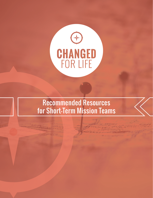

# Recommended Resources for Short-Term Mission Teams